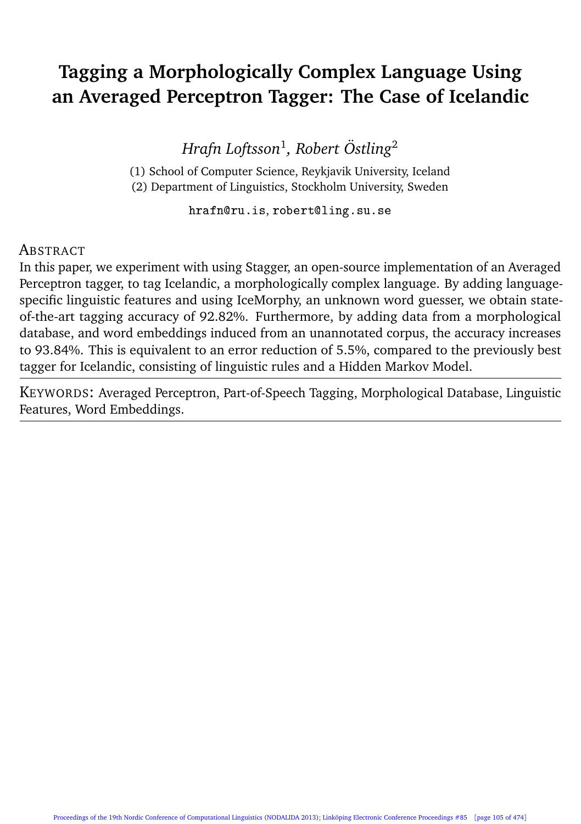# **Tagging a Morphologically Complex Language Using an Averaged Perceptron Tagger: The Case of Icelandic**

*Hrafn Loftsson*<sup>1</sup> *, Robert Östling*<sup>2</sup>

(1) School of Computer Science, Reykjavik University, Iceland (2) Department of Linguistics, Stockholm University, Sweden

hrafn@ru.is, robert@ling.su.se

#### **ABSTRACT**

In this paper, we experiment with using Stagger, an open-source implementation of an Averaged Perceptron tagger, to tag Icelandic, a morphologically complex language. By adding languagespecific linguistic features and using IceMorphy, an unknown word guesser, we obtain stateof-the-art tagging accuracy of 92.82%. Furthermore, by adding data from a morphological database, and word embeddings induced from an unannotated corpus, the accuracy increases to 93.84%. This is equivalent to an error reduction of 5.5%, compared to the previously best tagger for Icelandic, consisting of linguistic rules and a Hidden Markov Model.

KEYWORDS: Averaged Perceptron, Part-of-Speech Tagging, Morphological Database, Linguistic Features, Word Embeddings.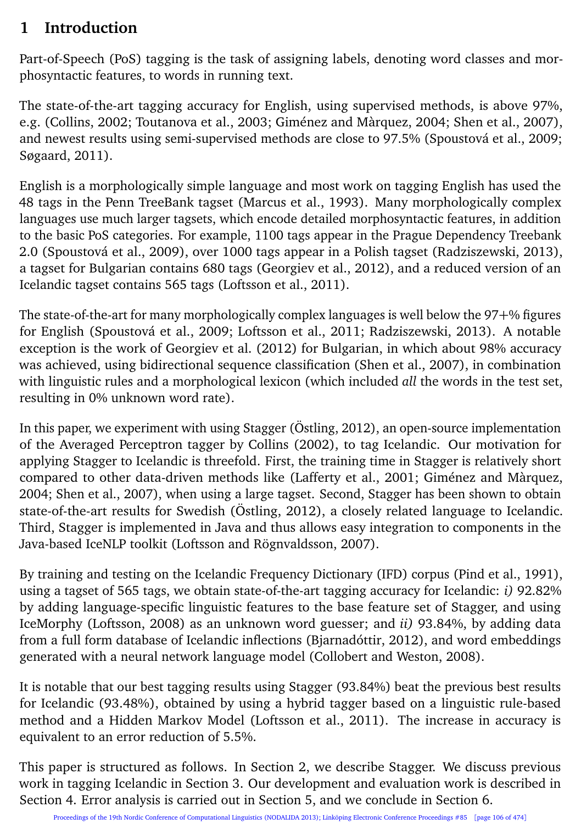### **1 Introduction**

Part-of-Speech (PoS) tagging is the task of assigning labels, denoting word classes and morphosyntactic features, to words in running text.

The state-of-the-art tagging accuracy for English, using supervised methods, is above 97%, e.g. (Collins, 2002; Toutanova et al., 2003; Giménez and Màrquez, 2004; Shen et al., 2007), and newest results using semi-supervised methods are close to 97.5% (Spoustová et al., 2009; Søgaard, 2011).

English is a morphologically simple language and most work on tagging English has used the 48 tags in the Penn TreeBank tagset (Marcus et al., 1993). Many morphologically complex languages use much larger tagsets, which encode detailed morphosyntactic features, in addition to the basic PoS categories. For example, 1100 tags appear in the Prague Dependency Treebank 2.0 (Spoustová et al., 2009), over 1000 tags appear in a Polish tagset (Radziszewski, 2013), a tagset for Bulgarian contains 680 tags (Georgiev et al., 2012), and a reduced version of an Icelandic tagset contains 565 tags (Loftsson et al., 2011).

The state-of-the-art for many morphologically complex languages is well below the 97+% figures for English (Spoustová et al., 2009; Loftsson et al., 2011; Radziszewski, 2013). A notable exception is the work of Georgiev et al. (2012) for Bulgarian, in which about 98% accuracy was achieved, using bidirectional sequence classification (Shen et al., 2007), in combination with linguistic rules and a morphological lexicon (which included *all* the words in the test set, resulting in 0% unknown word rate).

In this paper, we experiment with using Stagger (Östling, 2012), an open-source implementation of the Averaged Perceptron tagger by Collins (2002), to tag Icelandic. Our motivation for applying Stagger to Icelandic is threefold. First, the training time in Stagger is relatively short compared to other data-driven methods like (Lafferty et al., 2001; Giménez and Màrquez, 2004; Shen et al., 2007), when using a large tagset. Second, Stagger has been shown to obtain state-of-the-art results for Swedish (Östling, 2012), a closely related language to Icelandic. Third, Stagger is implemented in Java and thus allows easy integration to components in the Java-based IceNLP toolkit (Loftsson and Rögnvaldsson, 2007).

By training and testing on the Icelandic Frequency Dictionary (IFD) corpus (Pind et al., 1991), using a tagset of 565 tags, we obtain state-of-the-art tagging accuracy for Icelandic: *i)* 92.82% by adding language-specific linguistic features to the base feature set of Stagger, and using IceMorphy (Loftsson, 2008) as an unknown word guesser; and *ii)* 93.84%, by adding data from a full form database of Icelandic inflections (Bjarnadóttir, 2012), and word embeddings generated with a neural network language model (Collobert and Weston, 2008).

It is notable that our best tagging results using Stagger (93.84%) beat the previous best results for Icelandic (93.48%), obtained by using a hybrid tagger based on a linguistic rule-based method and a Hidden Markov Model (Loftsson et al., 2011). The increase in accuracy is equivalent to an error reduction of 5.5%.

This paper is structured as follows. In Section 2, we describe Stagger. We discuss previous work in tagging Icelandic in Section 3. Our development and evaluation work is described in Section 4. Error analysis is carried out in Section 5, and we conclude in Section 6.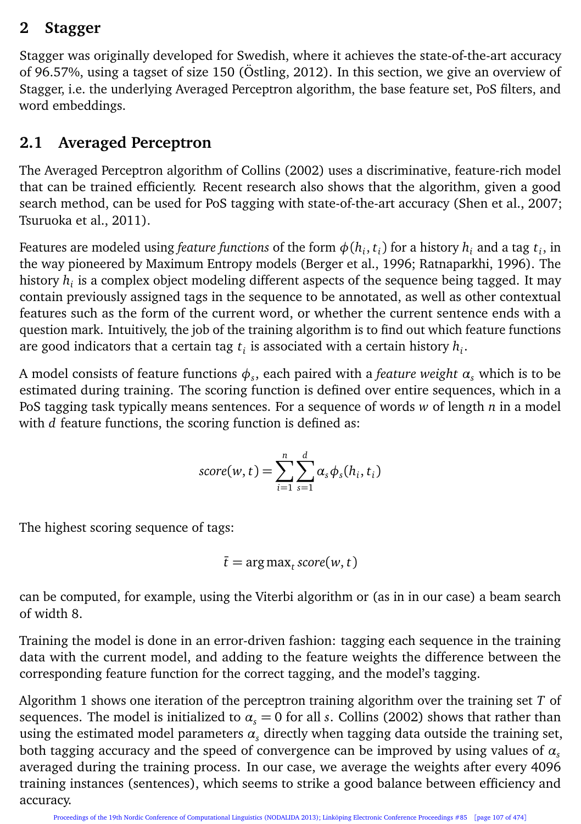#### **2 Stagger**

Stagger was originally developed for Swedish, where it achieves the state-of-the-art accuracy of 96.57%, using a tagset of size 150 (Östling, 2012). In this section, we give an overview of Stagger, i.e. the underlying Averaged Perceptron algorithm, the base feature set, PoS filters, and word embeddings.

### **2.1 Averaged Perceptron**

The Averaged Perceptron algorithm of Collins (2002) uses a discriminative, feature-rich model that can be trained efficiently. Recent research also shows that the algorithm, given a good search method, can be used for PoS tagging with state-of-the-art accuracy (Shen et al., 2007; Tsuruoka et al., 2011).

Features are modeled using *feature functions* of the form  $\phi(h_i,t_i)$  for a history  $h_i$  and a tag  $t_i$ , in the way pioneered by Maximum Entropy models (Berger et al., 1996; Ratnaparkhi, 1996). The history  $h_i$  is a complex object modeling different aspects of the sequence being tagged. It may contain previously assigned tags in the sequence to be annotated, as well as other contextual features such as the form of the current word, or whether the current sentence ends with a question mark. Intuitively, the job of the training algorithm is to find out which feature functions are good indicators that a certain tag  $t_i$  is associated with a certain history  $h_i$ .

A model consists of feature functions  $\phi_s$ , each paired with a *feature weight*  $\alpha_s$  *which is to be* estimated during training. The scoring function is defined over entire sequences, which in a PoS tagging task typically means sentences. For a sequence of words *w* of length *n* in a model with *d* feature functions, the scoring function is defined as:

$$
score(w, t) = \sum_{i=1}^{n} \sum_{s=1}^{d} \alpha_s \phi_s(h_i, t_i)
$$

The highest scoring sequence of tags:

$$
\bar{t} = \arg \max_t score(w, t)
$$

can be computed, for example, using the Viterbi algorithm or (as in in our case) a beam search of width 8.

Training the model is done in an error-driven fashion: tagging each sequence in the training data with the current model, and adding to the feature weights the difference between the corresponding feature function for the correct tagging, and the model's tagging.

Algorithm 1 shows one iteration of the perceptron training algorithm over the training set *T* of sequences. The model is initialized to  $\alpha_s = 0$  for all *s*. Collins (2002) shows that rather than using the estimated model parameters  $\alpha$ , directly when tagging data outside the training set, both tagging accuracy and the speed of convergence can be improved by using values of  $\alpha_s$ averaged during the training process. In our case, we average the weights after every 4096 training instances (sentences), which seems to strike a good balance between efficiency and accuracy.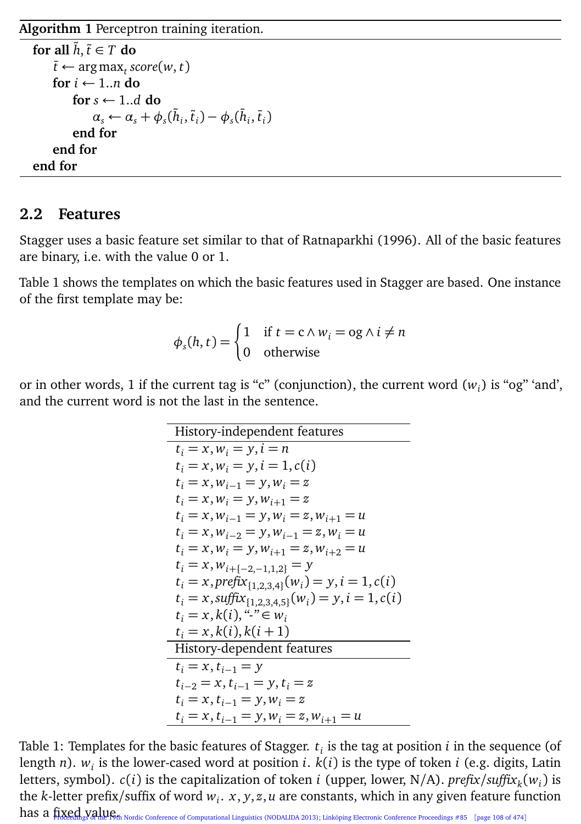**Algorithm 1** Perceptron training iteration.

```
for all \hat{h}, \tilde{t} \in T do
      \bar{t} \leftarrow \argmax_t score(w, t)for i ← 1..n do
            for s ← 1..d do
                  \alpha_s \leftarrow \alpha_s + \phi_s(\tilde{h}_i, \tilde{t}_i) - \phi_s(\tilde{h}_i, \tilde{t}_i)end for
      end for
end for
```
#### **2.2 Features**

Stagger uses a basic feature set similar to that of Ratnaparkhi (1996). All of the basic features are binary, i.e. with the value 0 or 1.

Table 1 shows the templates on which the basic features used in Stagger are based. One instance of the first template may be:

$$
\phi_s(h, t) = \begin{cases} 1 & \text{if } t = c \land w_i = \log \land i \neq n \\ 0 & \text{otherwise} \end{cases}
$$

or in other words, 1 if the current tag is "c" (conjunction), the current word  $(w_i)$  is "og" 'and', and the current word is not the last in the sentence.

| History-independent features                                             |
|--------------------------------------------------------------------------|
| $t_i = x, w_i = y, i = n$                                                |
| $t_i = x, w_i = y, i = 1, c(i)$                                          |
| $t_i = x, w_{i-1} = y, w_i = z$                                          |
| $t_i = x, w_i = y, w_{i+1} = z$                                          |
| $t_i = x, w_{i-1} = y, w_i = z, w_{i+1} = u$                             |
| $t_i = x, w_{i-2} = y, w_{i-1} = z, w_i = u$                             |
| $t_i = x, w_i = y, w_{i+1} = z, w_{i+2} = u$                             |
| $t_i = x, w_{i+\{-2,-1,1,2\}} = y$                                       |
| $t_i = x$ , prefix <sub>{1,2,3,4}</sub> ( $w_i$ ) = y, i = 1, c(i)       |
| $t_i = x$ , suffix <sub>{1,2,3,4,5}</sub> $(w_i) = y$ , $i = 1$ , $c(i)$ |
| $t_i = x, k(i),$ "-" $\in w_i$                                           |
| $t_i = x, k(i), k(i + 1)$                                                |
| History-dependent features                                               |
| $t_i = x, t_{i-1} = y$                                                   |
| $t_{i-2} = x, t_{i-1} = y, t_i = z$                                      |
| $t_i = x, t_{i-1} = y, w_i = z$                                          |
| $t_i = x, t_{i-1} = y, w_i = z, w_{i+1} = u$                             |

Table 1: Templates for the basic features of Stagger. *t<sup>i</sup>* is the tag at position *i* in the sequence (of length *n*). *w<sup>i</sup>* is the lower-cased word at position *i*. *k*(*i*) is the type of token *i* (e.g. digits, Latin letters, symbol). *c*(*i*) is the capitalization of token *i* (upper, lower, N/A). *prefix/suffix<sup>k</sup>* (*w<sup>i</sup>* ) is the *k*-letter prefix/suffix of word *w<sup>i</sup>* . *x*, *y*, *z*, *u* are constants, which in any given feature function has a fixed value of Nordic Conference of Computational Linguistics (NODALIDA 2013); Linköping Electronic Conference Proceedings #85 [page 108 of 474]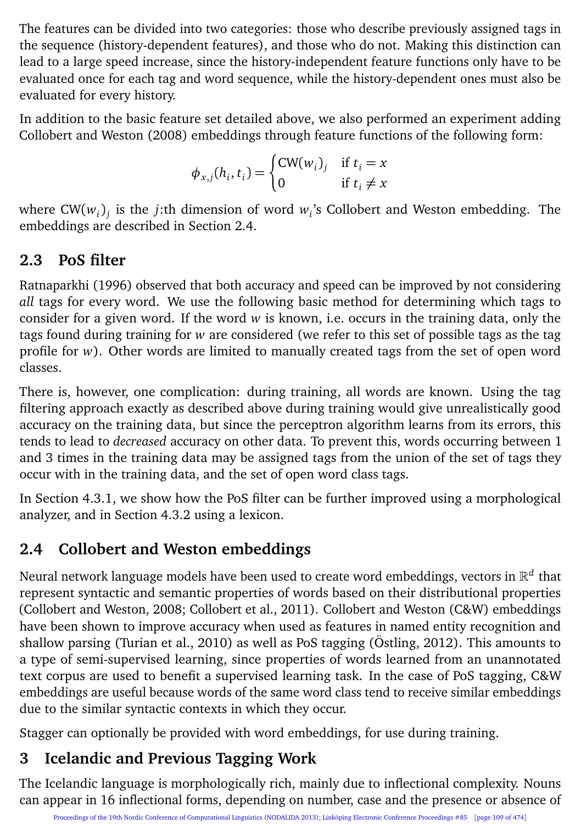The features can be divided into two categories: those who describe previously assigned tags in the sequence (history-dependent features), and those who do not. Making this distinction can lead to a large speed increase, since the history-independent feature functions only have to be evaluated once for each tag and word sequence, while the history-dependent ones must also be evaluated for every history.

In addition to the basic feature set detailed above, we also performed an experiment adding Collobert and Weston (2008) embeddings through feature functions of the following form:

$$
\phi_{x,j}(h_i, t_i) = \begin{cases} \text{CW}(w_i)_j & \text{if } t_i = x \\ 0 & \text{if } t_i \neq x \end{cases}
$$

where CW(*w<sup>i</sup>* )*j* is the *j*:th dimension of word *w<sup>i</sup>* 's Collobert and Weston embedding. The embeddings are described in Section 2.4.

## **2.3 PoS filter**

Ratnaparkhi (1996) observed that both accuracy and speed can be improved by not considering *all* tags for every word. We use the following basic method for determining which tags to consider for a given word. If the word *w* is known, i.e. occurs in the training data, only the tags found during training for *w* are considered (we refer to this set of possible tags as the tag profile for *w*). Other words are limited to manually created tags from the set of open word classes.

There is, however, one complication: during training, all words are known. Using the tag filtering approach exactly as described above during training would give unrealistically good accuracy on the training data, but since the perceptron algorithm learns from its errors, this tends to lead to *decreased* accuracy on other data. To prevent this, words occurring between 1 and 3 times in the training data may be assigned tags from the union of the set of tags they occur with in the training data, and the set of open word class tags.

In Section 4.3.1, we show how the PoS filter can be further improved using a morphological analyzer, and in Section 4.3.2 using a lexicon.

## **2.4 Collobert and Weston embeddings**

Neural network language models have been used to create word embeddings, vectors in  $\mathbb{R}^d$  that represent syntactic and semantic properties of words based on their distributional properties (Collobert and Weston, 2008; Collobert et al., 2011). Collobert and Weston (C&W) embeddings have been shown to improve accuracy when used as features in named entity recognition and shallow parsing (Turian et al., 2010) as well as PoS tagging (Östling, 2012). This amounts to a type of semi-supervised learning, since properties of words learned from an unannotated text corpus are used to benefit a supervised learning task. In the case of PoS tagging, C&W embeddings are useful because words of the same word class tend to receive similar embeddings due to the similar syntactic contexts in which they occur.

Stagger can optionally be provided with word embeddings, for use during training.

# **3 Icelandic and Previous Tagging Work**

The Icelandic language is morphologically rich, mainly due to inflectional complexity. Nouns can appear in 16 inflectional forms, depending on number, case and the presence or absence of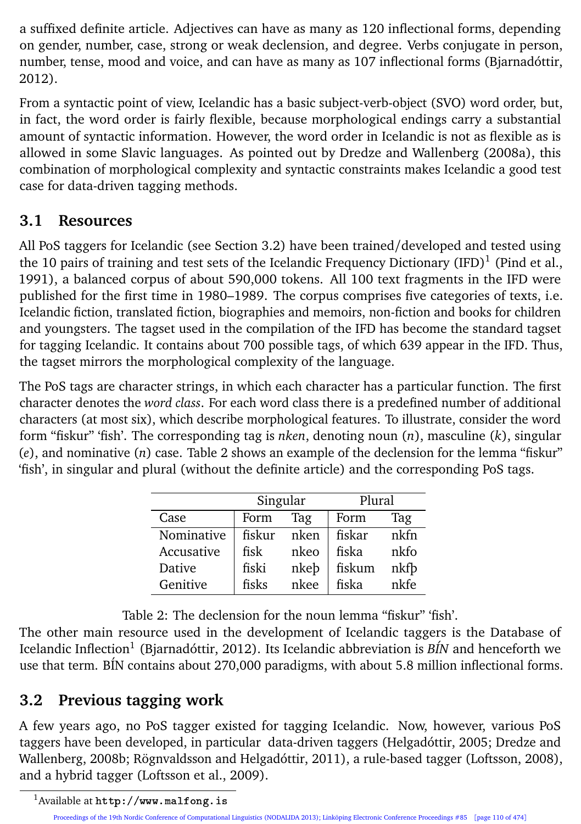a suffixed definite article. Adjectives can have as many as 120 inflectional forms, depending on gender, number, case, strong or weak declension, and degree. Verbs conjugate in person, number, tense, mood and voice, and can have as many as 107 inflectional forms (Bjarnadóttir, 2012).

From a syntactic point of view, Icelandic has a basic subject-verb-object (SVO) word order, but, in fact, the word order is fairly flexible, because morphological endings carry a substantial amount of syntactic information. However, the word order in Icelandic is not as flexible as is allowed in some Slavic languages. As pointed out by Dredze and Wallenberg (2008a), this combination of morphological complexity and syntactic constraints makes Icelandic a good test case for data-driven tagging methods.

### **3.1 Resources**

All PoS taggers for Icelandic (see Section 3.2) have been trained/developed and tested using the 10 pairs of training and test sets of the Icelandic Frequency Dictionary (IFD) $^1$  (Pind et al., 1991), a balanced corpus of about 590,000 tokens. All 100 text fragments in the IFD were published for the first time in 1980–1989. The corpus comprises five categories of texts, i.e. Icelandic fiction, translated fiction, biographies and memoirs, non-fiction and books for children and youngsters. The tagset used in the compilation of the IFD has become the standard tagset for tagging Icelandic. It contains about 700 possible tags, of which 639 appear in the IFD. Thus, the tagset mirrors the morphological complexity of the language.

The PoS tags are character strings, in which each character has a particular function. The first character denotes the *word class*. For each word class there is a predefined number of additional characters (at most six), which describe morphological features. To illustrate, consider the word form "fiskur" 'fish'. The corresponding tag is *nken*, denoting noun (*n*), masculine (*k*), singular (*e*), and nominative (*n*) case. Table 2 shows an example of the declension for the lemma "fiskur" 'fish', in singular and plural (without the definite article) and the corresponding PoS tags.

|            | Singular |      | Plural |      |  |
|------------|----------|------|--------|------|--|
| Case       | Form     | Tag  | Form   | Tag  |  |
| Nominative | fiskur   | nken | fiskar | nkfn |  |
| Accusative | fisk     | nkeo | fiska  | nkfo |  |
| Dative     | fiski    | nkeb | fiskum | nkfb |  |
| Genitive   | fisks    | nkee | fiska  | nkfe |  |

Table 2: The declension for the noun lemma "fiskur" 'fish'.

The other main resource used in the development of Icelandic taggers is the Database of Icelandic Inflection<sup>1</sup> (Bjarnadóttir, 2012). Its Icelandic abbreviation is *BÍN* and henceforth we use that term. BÍN contains about 270,000 paradigms, with about 5.8 million inflectional forms.

### **3.2 Previous tagging work**

A few years ago, no PoS tagger existed for tagging Icelandic. Now, however, various PoS taggers have been developed, in particular data-driven taggers (Helgadóttir, 2005; Dredze and Wallenberg, 2008b; Rögnvaldsson and Helgadóttir, 2011), a rule-based tagger (Loftsson, 2008), and a hybrid tagger (Loftsson et al., 2009).

<sup>1</sup>Available at http://www.malfong.is

Proceedings of the 19th Nordic Conference of Computational Linguistics (NODALIDA 2013); Linköping Electronic Conference Proceedings #85 [page 110 of 474]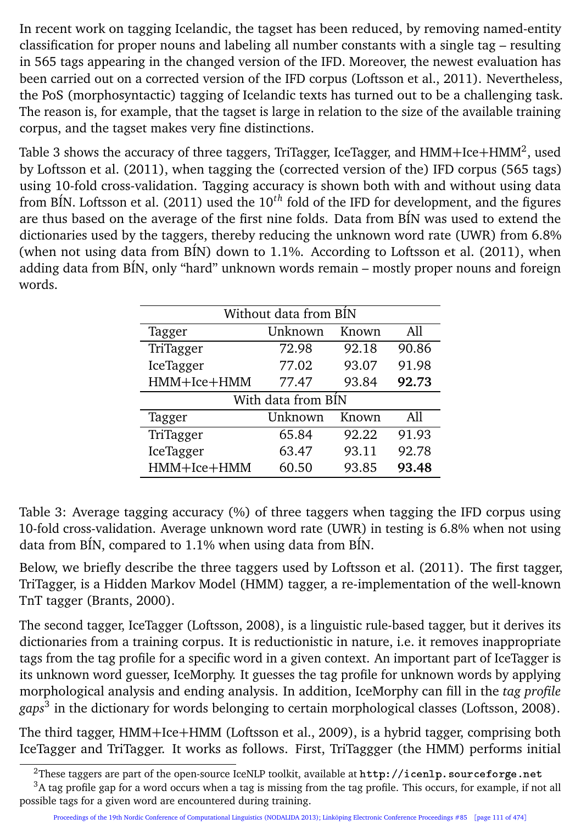In recent work on tagging Icelandic, the tagset has been reduced, by removing named-entity classification for proper nouns and labeling all number constants with a single tag – resulting in 565 tags appearing in the changed version of the IFD. Moreover, the newest evaluation has been carried out on a corrected version of the IFD corpus (Loftsson et al., 2011). Nevertheless, the PoS (morphosyntactic) tagging of Icelandic texts has turned out to be a challenging task. The reason is, for example, that the tagset is large in relation to the size of the available training corpus, and the tagset makes very fine distinctions.

Table 3 shows the accuracy of three taggers, TriTagger, IceTagger, and  $\mathrm{HMM+Ice+HMM^2},$  used by Loftsson et al. (2011), when tagging the (corrected version of the) IFD corpus (565 tags) using 10-fold cross-validation. Tagging accuracy is shown both with and without using data from BÍN. Loftsson et al. (2011) used the 10*th* fold of the IFD for development, and the figures are thus based on the average of the first nine folds. Data from BÍN was used to extend the dictionaries used by the taggers, thereby reducing the unknown word rate (UWR) from 6.8% (when not using data from BÍN) down to 1.1%. According to Loftsson et al. (2011), when adding data from BÍN, only "hard" unknown words remain – mostly proper nouns and foreign words.

| Without data from BIN |         |       |       |  |
|-----------------------|---------|-------|-------|--|
| Tagger                | Unknown | Known | A11   |  |
| TriTagger             | 72.98   | 92.18 | 90.86 |  |
| IceTagger             | 77.02   | 93.07 | 91.98 |  |
| HMM+Ice+HMM           | 77.47   | 93.84 | 92.73 |  |
| With data from BIN    |         |       |       |  |
| Tagger                | Unknown | Known | A11   |  |
| TriTagger             | 65.84   | 92.22 | 91.93 |  |
| IceTagger             | 63.47   | 93.11 | 92.78 |  |
| HMM+Ice+HMM           | 60.50   | 93.85 | 93.48 |  |

Table 3: Average tagging accuracy (%) of three taggers when tagging the IFD corpus using 10-fold cross-validation. Average unknown word rate (UWR) in testing is 6.8% when not using data from BÍN, compared to 1.1% when using data from BÍN.

Below, we briefly describe the three taggers used by Loftsson et al. (2011). The first tagger, TriTagger, is a Hidden Markov Model (HMM) tagger, a re-implementation of the well-known TnT tagger (Brants, 2000).

The second tagger, IceTagger (Loftsson, 2008), is a linguistic rule-based tagger, but it derives its dictionaries from a training corpus. It is reductionistic in nature, i.e. it removes inappropriate tags from the tag profile for a specific word in a given context. An important part of IceTagger is its unknown word guesser, IceMorphy. It guesses the tag profile for unknown words by applying morphological analysis and ending analysis. In addition, IceMorphy can fill in the *tag profile gaps*<sup>3</sup> in the dictionary for words belonging to certain morphological classes (Loftsson, 2008).

The third tagger, HMM+Ice+HMM (Loftsson et al., 2009), is a hybrid tagger, comprising both IceTagger and TriTagger. It works as follows. First, TriTaggger (the HMM) performs initial

<sup>&</sup>lt;sup>2</sup>These taggers are part of the open-source IceNLP toolkit, available at  $http://icenlo.sourcefore.net$ 

<sup>3</sup>A tag profile gap for a word occurs when a tag is missing from the tag profile. This occurs, for example, if not all possible tags for a given word are encountered during training.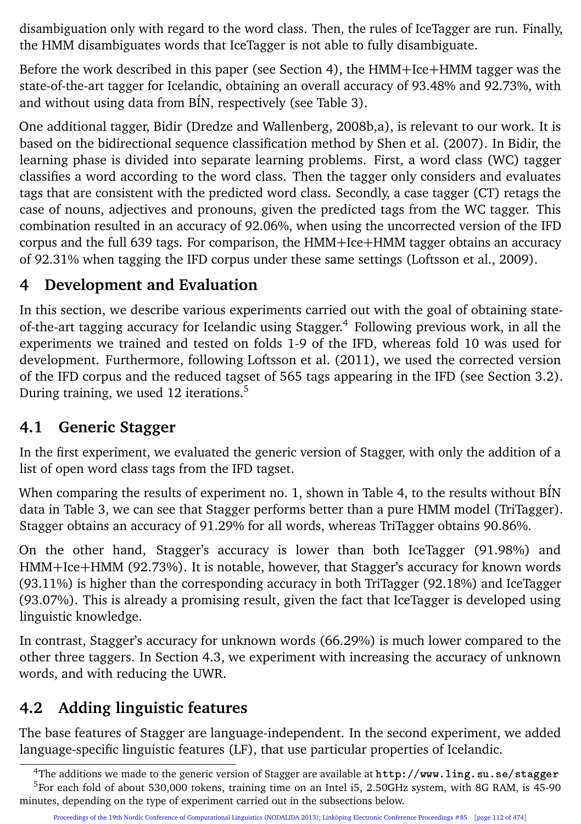disambiguation only with regard to the word class. Then, the rules of IceTagger are run. Finally, the HMM disambiguates words that IceTagger is not able to fully disambiguate.

Before the work described in this paper (see Section 4), the HMM+Ice+HMM tagger was the state-of-the-art tagger for Icelandic, obtaining an overall accuracy of 93.48% and 92.73%, with and without using data from BÍN, respectively (see Table 3).

One additional tagger, Bidir (Dredze and Wallenberg, 2008b,a), is relevant to our work. It is based on the bidirectional sequence classification method by Shen et al. (2007). In Bidir, the learning phase is divided into separate learning problems. First, a word class (WC) tagger classifies a word according to the word class. Then the tagger only considers and evaluates tags that are consistent with the predicted word class. Secondly, a case tagger (CT) retags the case of nouns, adjectives and pronouns, given the predicted tags from the WC tagger. This combination resulted in an accuracy of 92.06%, when using the uncorrected version of the IFD corpus and the full 639 tags. For comparison, the HMM+Ice+HMM tagger obtains an accuracy of 92.31% when tagging the IFD corpus under these same settings (Loftsson et al., 2009).

## **4 Development and Evaluation**

In this section, we describe various experiments carried out with the goal of obtaining stateof-the-art tagging accuracy for Icelandic using Stagger.<sup>4</sup> Following previous work, in all the experiments we trained and tested on folds 1-9 of the IFD, whereas fold 10 was used for development. Furthermore, following Loftsson et al. (2011), we used the corrected version of the IFD corpus and the reduced tagset of 565 tags appearing in the IFD (see Section 3.2). During training, we used 12 iterations.<sup>5</sup>

### **4.1 Generic Stagger**

In the first experiment, we evaluated the generic version of Stagger, with only the addition of a list of open word class tags from the IFD tagset.

When comparing the results of experiment no. 1, shown in Table 4, to the results without BÍN data in Table 3, we can see that Stagger performs better than a pure HMM model (TriTagger). Stagger obtains an accuracy of 91.29% for all words, whereas TriTagger obtains 90.86%.

On the other hand, Stagger's accuracy is lower than both IceTagger (91.98%) and HMM+Ice+HMM (92.73%). It is notable, however, that Stagger's accuracy for known words (93.11%) is higher than the corresponding accuracy in both TriTagger (92.18%) and IceTagger (93.07%). This is already a promising result, given the fact that IceTagger is developed using linguistic knowledge.

In contrast, Stagger's accuracy for unknown words (66.29%) is much lower compared to the other three taggers. In Section 4.3, we experiment with increasing the accuracy of unknown words, and with reducing the UWR.

## **4.2 Adding linguistic features**

The base features of Stagger are language-independent. In the second experiment, we added language-specific linguistic features (LF), that use particular properties of Icelandic.

<sup>4</sup>The additions we made to the generic version of Stagger are available at http://www.ling.su.se/stagger

<sup>&</sup>lt;sup>5</sup>For each fold of about 530,000 tokens, training time on an Intel i5, 2.50GHz system, with 8G RAM, is 45-90 minutes, depending on the type of experiment carried out in the subsections below.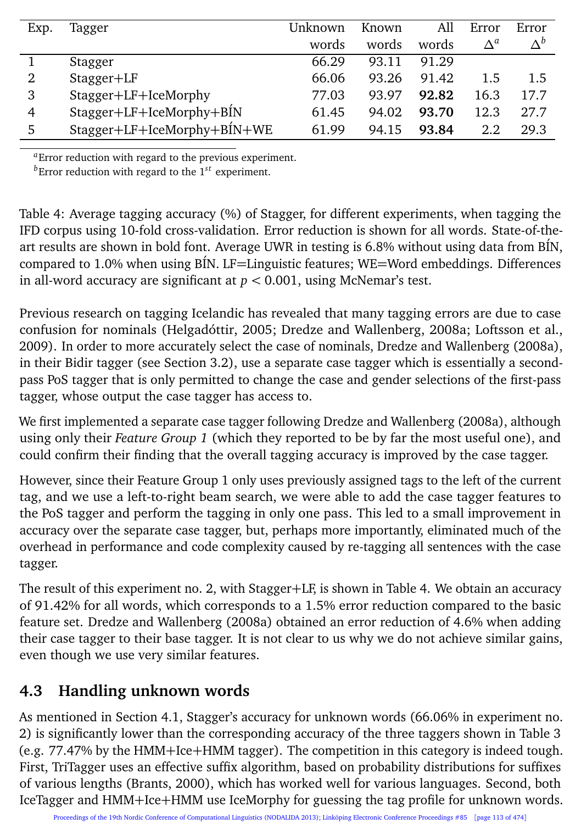| Exp. | Tagger                      | Unknown | Known | All   | Error       | Error      |
|------|-----------------------------|---------|-------|-------|-------------|------------|
|      |                             | words   | words | words | $\Lambda^a$ | $\Delta^b$ |
|      | Stagger                     | 66.29   | 93.11 | 91.29 |             |            |
| 2    | Stagger+LF                  | 66.06   | 93.26 | 91.42 | 1.5         | 1.5        |
| 3    | Stagger+LF+IceMorphy        | 77.03   | 93.97 | 92.82 | 16.3        | 17.7       |
| 4    | Stagger+LF+IceMorphy+BIN    | 61.45   | 94.02 | 93.70 | 12.3        | 27.7       |
| 5    | Stagger+LF+IceMorphy+BİN+WE | 61.99   | 94.15 | 93.84 | 2.2         | 29.3       |

*<sup>a</sup>*Error reduction with regard to the previous experiment.

*<sup>b</sup>*Error reduction with regard to the 1*st* experiment.

Table 4: Average tagging accuracy (%) of Stagger, for different experiments, when tagging the IFD corpus using 10-fold cross-validation. Error reduction is shown for all words. State-of-theart results are shown in bold font. Average UWR in testing is 6.8% without using data from BÍN, compared to 1.0% when using BÍN. LF=Linguistic features; WE=Word embeddings. Differences in all-word accuracy are significant at *p <* 0.001, using McNemar's test.

Previous research on tagging Icelandic has revealed that many tagging errors are due to case confusion for nominals (Helgadóttir, 2005; Dredze and Wallenberg, 2008a; Loftsson et al., 2009). In order to more accurately select the case of nominals, Dredze and Wallenberg (2008a), in their Bidir tagger (see Section 3.2), use a separate case tagger which is essentially a secondpass PoS tagger that is only permitted to change the case and gender selections of the first-pass tagger, whose output the case tagger has access to.

We first implemented a separate case tagger following Dredze and Wallenberg (2008a), although using only their *Feature Group 1* (which they reported to be by far the most useful one), and could confirm their finding that the overall tagging accuracy is improved by the case tagger.

However, since their Feature Group 1 only uses previously assigned tags to the left of the current tag, and we use a left-to-right beam search, we were able to add the case tagger features to the PoS tagger and perform the tagging in only one pass. This led to a small improvement in accuracy over the separate case tagger, but, perhaps more importantly, eliminated much of the overhead in performance and code complexity caused by re-tagging all sentences with the case tagger.

The result of this experiment no. 2, with Stagger+LF, is shown in Table 4. We obtain an accuracy of 91.42% for all words, which corresponds to a 1.5% error reduction compared to the basic feature set. Dredze and Wallenberg (2008a) obtained an error reduction of 4.6% when adding their case tagger to their base tagger. It is not clear to us why we do not achieve similar gains, even though we use very similar features.

## **4.3 Handling unknown words**

As mentioned in Section 4.1, Stagger's accuracy for unknown words (66.06% in experiment no. 2) is significantly lower than the corresponding accuracy of the three taggers shown in Table 3 (e.g. 77.47% by the HMM+Ice+HMM tagger). The competition in this category is indeed tough. First, TriTagger uses an effective suffix algorithm, based on probability distributions for suffixes of various lengths (Brants, 2000), which has worked well for various languages. Second, both IceTagger and HMM+Ice+HMM use IceMorphy for guessing the tag profile for unknown words.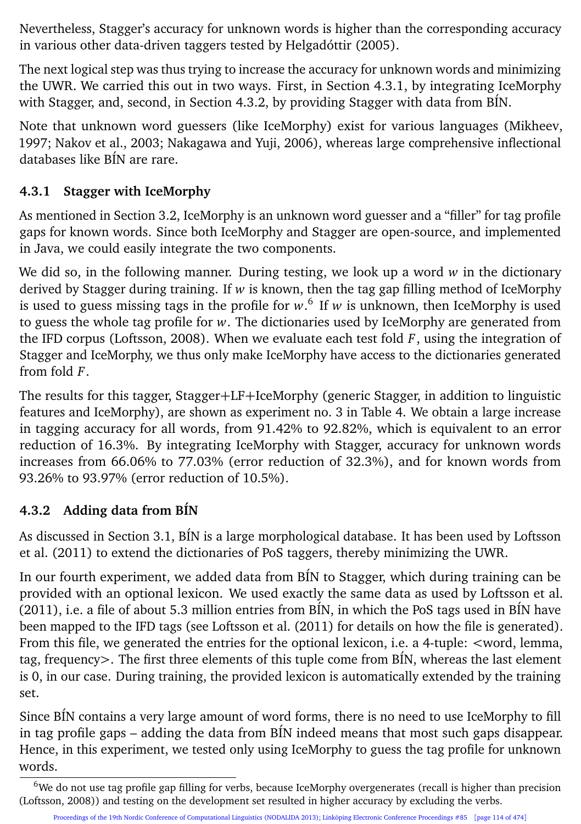Nevertheless, Stagger's accuracy for unknown words is higher than the corresponding accuracy in various other data-driven taggers tested by Helgadóttir (2005).

The next logical step was thus trying to increase the accuracy for unknown words and minimizing the UWR. We carried this out in two ways. First, in Section 4.3.1, by integrating IceMorphy with Stagger, and, second, in Section 4.3.2, by providing Stagger with data from BÍN.

Note that unknown word guessers (like IceMorphy) exist for various languages (Mikheev, 1997; Nakov et al., 2003; Nakagawa and Yuji, 2006), whereas large comprehensive inflectional databases like BÍN are rare.

#### **4.3.1 Stagger with IceMorphy**

As mentioned in Section 3.2, IceMorphy is an unknown word guesser and a "filler" for tag profile gaps for known words. Since both IceMorphy and Stagger are open-source, and implemented in Java, we could easily integrate the two components.

We did so, in the following manner. During testing, we look up a word *w* in the dictionary derived by Stagger during training. If *w* is known, then the tag gap filling method of IceMorphy is used to guess missing tags in the profile for *w*. 6 If *w* is unknown, then IceMorphy is used to guess the whole tag profile for *w*. The dictionaries used by IceMorphy are generated from the IFD corpus (Loftsson, 2008). When we evaluate each test fold  $F$ , using the integration of Stagger and IceMorphy, we thus only make IceMorphy have access to the dictionaries generated from fold *F*.

The results for this tagger, Stagger+LF+IceMorphy (generic Stagger, in addition to linguistic features and IceMorphy), are shown as experiment no. 3 in Table 4. We obtain a large increase in tagging accuracy for all words, from 91.42% to 92.82%, which is equivalent to an error reduction of 16.3%. By integrating IceMorphy with Stagger, accuracy for unknown words increases from 66.06% to 77.03% (error reduction of 32.3%), and for known words from 93.26% to 93.97% (error reduction of 10.5%).

#### **4.3.2 Adding data from BÍN**

As discussed in Section 3.1, BÍN is a large morphological database. It has been used by Loftsson et al. (2011) to extend the dictionaries of PoS taggers, thereby minimizing the UWR.

In our fourth experiment, we added data from BÍN to Stagger, which during training can be provided with an optional lexicon. We used exactly the same data as used by Loftsson et al. (2011), i.e. a file of about 5.3 million entries from BÍN, in which the PoS tags used in BÍN have been mapped to the IFD tags (see Loftsson et al. (2011) for details on how the file is generated). From this file, we generated the entries for the optional lexicon, i.e. a 4-tuple: <word, lemma, tag, frequency>. The first three elements of this tuple come from BÍN, whereas the last element is 0, in our case. During training, the provided lexicon is automatically extended by the training set.

Since BÍN contains a very large amount of word forms, there is no need to use IceMorphy to fill in tag profile gaps – adding the data from BÍN indeed means that most such gaps disappear. Hence, in this experiment, we tested only using IceMorphy to guess the tag profile for unknown words.

 $6$ We do not use tag profile gap filling for verbs, because IceMorphy overgenerates (recall is higher than precision (Loftsson, 2008)) and testing on the development set resulted in higher accuracy by excluding the verbs.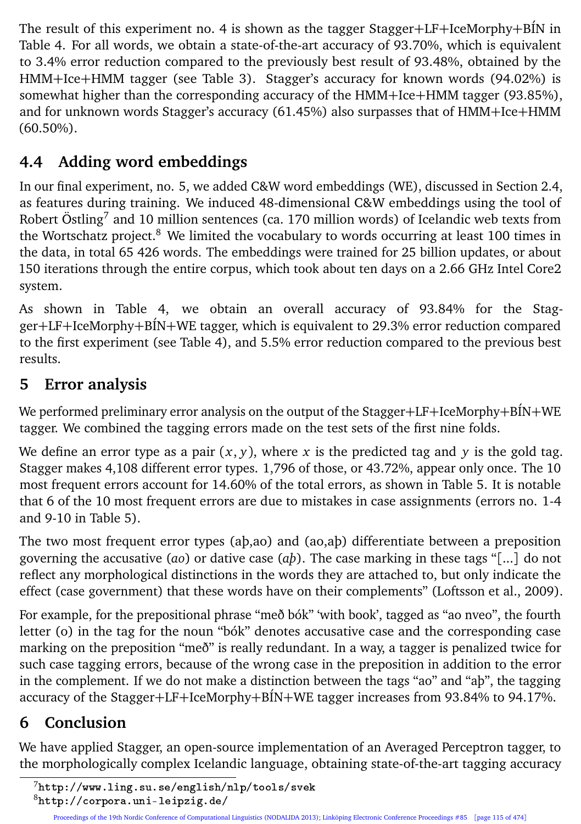The result of this experiment no. 4 is shown as the tagger Stagger+LF+IceMorphy+BÍN in Table 4. For all words, we obtain a state-of-the-art accuracy of 93.70%, which is equivalent to 3.4% error reduction compared to the previously best result of 93.48%, obtained by the HMM+Ice+HMM tagger (see Table 3). Stagger's accuracy for known words (94.02%) is somewhat higher than the corresponding accuracy of the HMM+Ice+HMM tagger (93.85%), and for unknown words Stagger's accuracy (61.45%) also surpasses that of HMM+Ice+HMM (60.50%).

## **4.4 Adding word embeddings**

In our final experiment, no. 5, we added C&W word embeddings (WE), discussed in Section 2.4, as features during training. We induced 48-dimensional C&W embeddings using the tool of Robert Östling $^7$  and 10 million sentences (ca. 170 million words) of Icelandic web texts from the Wortschatz project.<sup>8</sup> We limited the vocabulary to words occurring at least 100 times in the data, in total 65 426 words. The embeddings were trained for 25 billion updates, or about 150 iterations through the entire corpus, which took about ten days on a 2.66 GHz Intel Core2 system.

As shown in Table 4, we obtain an overall accuracy of 93.84% for the Stagger+LF+IceMorphy+BÍN+WE tagger, which is equivalent to 29.3% error reduction compared to the first experiment (see Table 4), and 5.5% error reduction compared to the previous best results.

## **5 Error analysis**

We performed preliminary error analysis on the output of the Stagger+LF+IceMorphy+BIN+WE tagger. We combined the tagging errors made on the test sets of the first nine folds.

We define an error type as a pair  $(x, y)$ , where x is the predicted tag and y is the gold tag. Stagger makes 4,108 different error types. 1,796 of those, or 43.72%, appear only once. The 10 most frequent errors account for 14.60% of the total errors, as shown in Table 5. It is notable that 6 of the 10 most frequent errors are due to mistakes in case assignments (errors no. 1-4 and 9-10 in Table 5).

The two most frequent error types (aþ,ao) and (ao,aþ) differentiate between a preposition governing the accusative (*ao*) or dative case (*aþ*). The case marking in these tags "[...] do not reflect any morphological distinctions in the words they are attached to, but only indicate the effect (case government) that these words have on their complements" (Loftsson et al., 2009).

For example, for the prepositional phrase "með bók" 'with book', tagged as "ao nveo", the fourth letter (o) in the tag for the noun "bók" denotes accusative case and the corresponding case marking on the preposition "með" is really redundant. In a way, a tagger is penalized twice for such case tagging errors, because of the wrong case in the preposition in addition to the error in the complement. If we do not make a distinction between the tags "ao" and "aþ", the tagging accuracy of the Stagger+LF+IceMorphy+BÍN+WE tagger increases from 93.84% to 94.17%.

# **6 Conclusion**

We have applied Stagger, an open-source implementation of an Averaged Perceptron tagger, to the morphologically complex Icelandic language, obtaining state-of-the-art tagging accuracy

<sup>7</sup>http://www.ling.su.se/english/nlp/tools/svek

<sup>8</sup>http://corpora.uni-leipzig.de/

Proceedings of the 19th Nordic Conference of Computational Linguistics (NODALIDA 2013); Linköping Electronic Conference Proceedings #85 [page 115 of 474]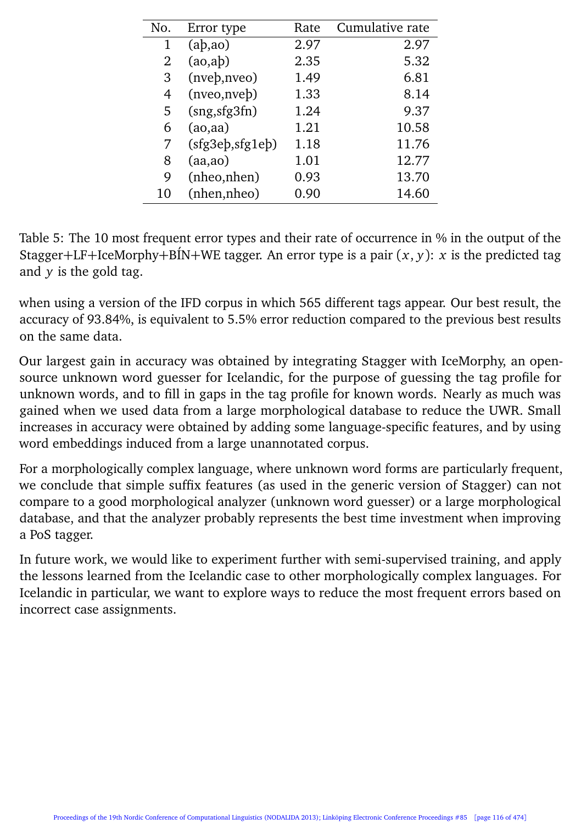| No. | Error type             | Rate | Cumulative rate |
|-----|------------------------|------|-----------------|
| 1   | $(a\dot{b}, a\dot{o})$ | 2.97 | 2.97            |
| 2   | (ao,ab)                | 2.35 | 5.32            |
| 3   | (nveb, nveo)           | 1.49 | 6.81            |
| 4   | (nveo,nveb)            | 1.33 | 8.14            |
| 5   | (sng, sfg3fn)          | 1.24 | 9.37            |
| 6   | (ao,aa)                | 1.21 | 10.58           |
| 7   | (sfg3eb,sfg1eb)        | 1.18 | 11.76           |
| 8   | (aa, ao)               | 1.01 | 12.77           |
| 9   | (nheo,nhen)            | 0.93 | 13.70           |
| 10  | (nhen,nheo)            | 0.90 | 14.60           |

Table 5: The 10 most frequent error types and their rate of occurrence in % in the output of the Stagger+LF+IceMorphy+BIN+WE tagger. An error type is a pair  $(x, y)$ : *x* is the predicted tag and  $\nu$  is the gold tag.

when using a version of the IFD corpus in which 565 different tags appear. Our best result, the accuracy of 93.84%, is equivalent to 5.5% error reduction compared to the previous best results on the same data.

Our largest gain in accuracy was obtained by integrating Stagger with IceMorphy, an opensource unknown word guesser for Icelandic, for the purpose of guessing the tag profile for unknown words, and to fill in gaps in the tag profile for known words. Nearly as much was gained when we used data from a large morphological database to reduce the UWR. Small increases in accuracy were obtained by adding some language-specific features, and by using word embeddings induced from a large unannotated corpus.

For a morphologically complex language, where unknown word forms are particularly frequent, we conclude that simple suffix features (as used in the generic version of Stagger) can not compare to a good morphological analyzer (unknown word guesser) or a large morphological database, and that the analyzer probably represents the best time investment when improving a PoS tagger.

In future work, we would like to experiment further with semi-supervised training, and apply the lessons learned from the Icelandic case to other morphologically complex languages. For Icelandic in particular, we want to explore ways to reduce the most frequent errors based on incorrect case assignments.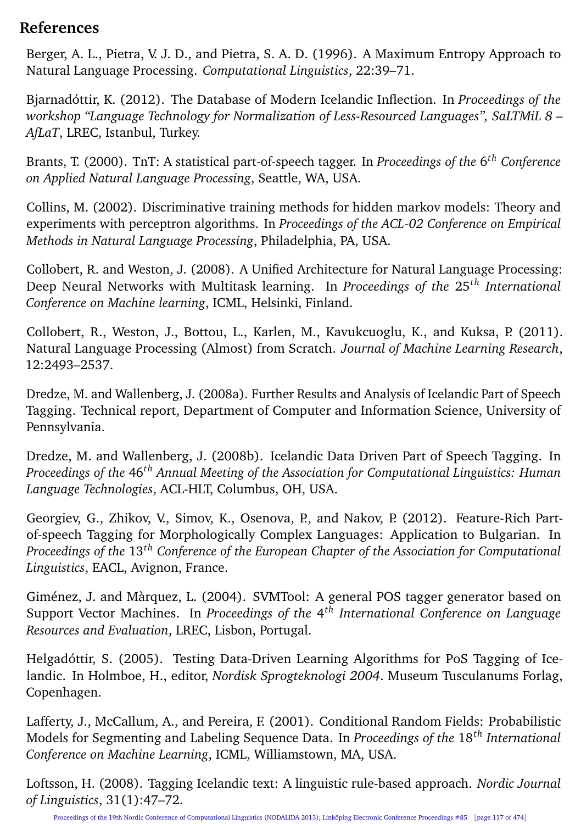#### **References**

Berger, A. L., Pietra, V. J. D., and Pietra, S. A. D. (1996). A Maximum Entropy Approach to Natural Language Processing. *Computational Linguistics*, 22:39–71.

Bjarnadóttir, K. (2012). The Database of Modern Icelandic Inflection. In *Proceedings of the workshop "Language Technology for Normalization of Less-Resourced Languages", SaLTMiL 8 – AfLaT*, LREC, Istanbul, Turkey.

Brants, T. (2000). TnT: A statistical part-of-speech tagger. In *Proceedings of the* 6 *th Conference on Applied Natural Language Processing*, Seattle, WA, USA.

Collins, M. (2002). Discriminative training methods for hidden markov models: Theory and experiments with perceptron algorithms. In *Proceedings of the ACL-02 Conference on Empirical Methods in Natural Language Processing*, Philadelphia, PA, USA.

Collobert, R. and Weston, J. (2008). A Unified Architecture for Natural Language Processing: Deep Neural Networks with Multitask learning. In *Proceedings of the* 25*th International Conference on Machine learning*, ICML, Helsinki, Finland.

Collobert, R., Weston, J., Bottou, L., Karlen, M., Kavukcuoglu, K., and Kuksa, P. (2011). Natural Language Processing (Almost) from Scratch. *Journal of Machine Learning Research*, 12:2493–2537.

Dredze, M. and Wallenberg, J. (2008a). Further Results and Analysis of Icelandic Part of Speech Tagging. Technical report, Department of Computer and Information Science, University of Pennsylvania.

Dredze, M. and Wallenberg, J. (2008b). Icelandic Data Driven Part of Speech Tagging. In *Proceedings of the* 46*th Annual Meeting of the Association for Computational Linguistics: Human Language Technologies*, ACL-HLT, Columbus, OH, USA.

Georgiev, G., Zhikov, V., Simov, K., Osenova, P., and Nakov, P. (2012). Feature-Rich Partof-speech Tagging for Morphologically Complex Languages: Application to Bulgarian. In *Proceedings of the* 13*th Conference of the European Chapter of the Association for Computational Linguistics*, EACL, Avignon, France.

Giménez, J. and Màrquez, L. (2004). SVMTool: A general POS tagger generator based on Support Vector Machines. In *Proceedings of the* 4 *th International Conference on Language Resources and Evaluation*, LREC, Lisbon, Portugal.

Helgadóttir, S. (2005). Testing Data-Driven Learning Algorithms for PoS Tagging of Icelandic. In Holmboe, H., editor, *Nordisk Sprogteknologi 2004*. Museum Tusculanums Forlag, Copenhagen.

Lafferty, J., McCallum, A., and Pereira, F. (2001). Conditional Random Fields: Probabilistic Models for Segmenting and Labeling Sequence Data. In *Proceedings of the* 18*th International Conference on Machine Learning*, ICML, Williamstown, MA, USA.

Loftsson, H. (2008). Tagging Icelandic text: A linguistic rule-based approach. *Nordic Journal of Linguistics*, 31(1):47–72.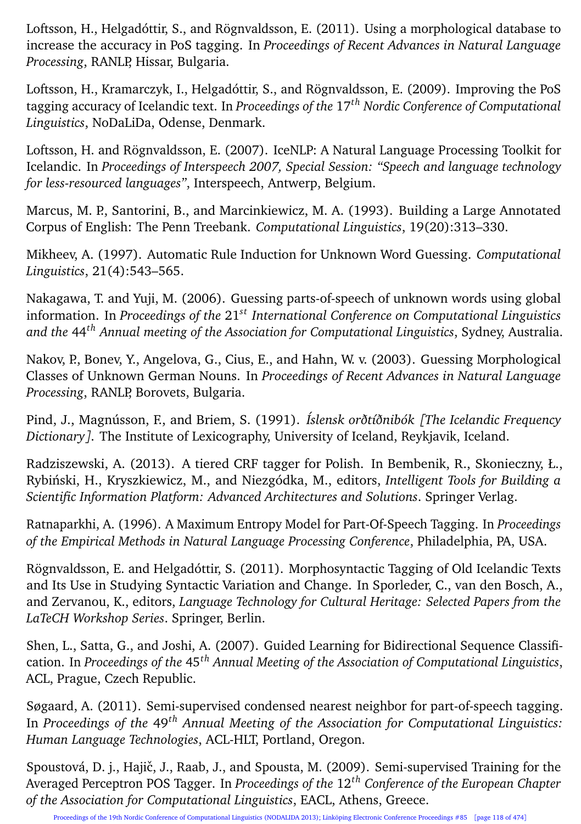Loftsson, H., Helgadóttir, S., and Rögnvaldsson, E. (2011). Using a morphological database to increase the accuracy in PoS tagging. In *Proceedings of Recent Advances in Natural Language Processing*, RANLP, Hissar, Bulgaria.

Loftsson, H., Kramarczyk, I., Helgadóttir, S., and Rögnvaldsson, E. (2009). Improving the PoS tagging accuracy of Icelandic text. In *Proceedings of the* 17*th Nordic Conference of Computational Linguistics*, NoDaLiDa, Odense, Denmark.

Loftsson, H. and Rögnvaldsson, E. (2007). IceNLP: A Natural Language Processing Toolkit for Icelandic. In *Proceedings of Interspeech 2007, Special Session: "Speech and language technology for less-resourced languages"*, Interspeech, Antwerp, Belgium.

Marcus, M. P., Santorini, B., and Marcinkiewicz, M. A. (1993). Building a Large Annotated Corpus of English: The Penn Treebank. *Computational Linguistics*, 19(20):313–330.

Mikheev, A. (1997). Automatic Rule Induction for Unknown Word Guessing. *Computational Linguistics*, 21(4):543–565.

Nakagawa, T. and Yuji, M. (2006). Guessing parts-of-speech of unknown words using global information. In *Proceedings of the* 21*st International Conference on Computational Linguistics and the* 44*th Annual meeting of the Association for Computational Linguistics*, Sydney, Australia.

Nakov, P., Bonev, Y., Angelova, G., Cius, E., and Hahn, W. v. (2003). Guessing Morphological Classes of Unknown German Nouns. In *Proceedings of Recent Advances in Natural Language Processing*, RANLP, Borovets, Bulgaria.

Pind, J., Magnússon, F., and Briem, S. (1991). *Íslensk orðtíðnibók [The Icelandic Frequency Dictionary]*. The Institute of Lexicography, University of Iceland, Reykjavik, Iceland.

Radziszewski, A. (2013). A tiered CRF tagger for Polish. In Bembenik, R., Skonieczny, Ł., Rybinski, H., Kryszkiewicz, M., and Niezgódka, M., editors, ´ *Intelligent Tools for Building a Scientific Information Platform: Advanced Architectures and Solutions*. Springer Verlag.

Ratnaparkhi, A. (1996). A Maximum Entropy Model for Part-Of-Speech Tagging. In *Proceedings of the Empirical Methods in Natural Language Processing Conference*, Philadelphia, PA, USA.

Rögnvaldsson, E. and Helgadóttir, S. (2011). Morphosyntactic Tagging of Old Icelandic Texts and Its Use in Studying Syntactic Variation and Change. In Sporleder, C., van den Bosch, A., and Zervanou, K., editors, *Language Technology for Cultural Heritage: Selected Papers from the LaTeCH Workshop Series*. Springer, Berlin.

Shen, L., Satta, G., and Joshi, A. (2007). Guided Learning for Bidirectional Sequence Classification. In *Proceedings of the* 45*th Annual Meeting of the Association of Computational Linguistics*, ACL, Prague, Czech Republic.

Søgaard, A. (2011). Semi-supervised condensed nearest neighbor for part-of-speech tagging. In *Proceedings of the* 49*th Annual Meeting of the Association for Computational Linguistics: Human Language Technologies*, ACL-HLT, Portland, Oregon.

Spoustová, D. j., Hajič, J., Raab, J., and Spousta, M. (2009). Semi-supervised Training for the Averaged Perceptron POS Tagger. In *Proceedings of the* 12*th Conference of the European Chapter of the Association for Computational Linguistics*, EACL, Athens, Greece.